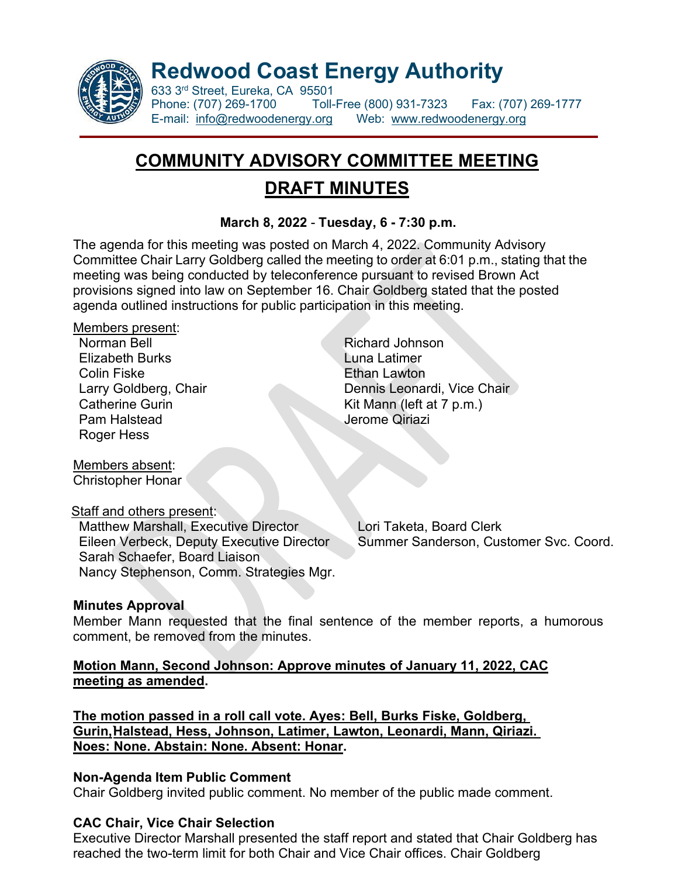

**Redwood Coast Energy Authority**

633 3<sup>rd</sup> Street, Eureka, CA 95501<br>Phone: (707) 269-1700 Toll-Phone: (707) 269-1700 Toll-Free (800) 931-7323 Fax: (707) 269-1777 E-mail: [info@redwoodenergy.org](mailto:info@redwoodenergy.org) Web: [www.redwoodenergy.org](http://www.redwoodenergy.org/)

# **COMMUNITY ADVISORY COMMITTEE MEETING DRAFT MINUTES**

## **March 8, 2022** - **Tuesday, 6 - 7:30 p.m.**

The agenda for this meeting was posted on March 4, 2022. Community Advisory Committee Chair Larry Goldberg called the meeting to order at 6:01 p.m., stating that the meeting was being conducted by teleconference pursuant to revised Brown Act provisions signed into law on September 16. Chair Goldberg stated that the posted agenda outlined instructions for public participation in this meeting.

#### Members present:

Norman Bell **Richard Johnson Elizabeth Burks** Luna Latimer Colin Fiske **Ethan Lawton** Pam Halstead **Jerome Qiriazi** Roger Hess

Members absent: Christopher Honar

## Staff and others present:

Matthew Marshall, Executive Director Lori Taketa, Board Clerk Sarah Schaefer, Board Liaison Nancy Stephenson, Comm. Strategies Mgr.

Larry Goldberg, Chair **Dennis Leonardi, Vice Chair** Catherine Gurin Kit Mann (left at 7 p.m.)

Eileen Verbeck, Deputy Executive Director Summer Sanderson, Customer Svc. Coord.

## **Minutes Approval**

Member Mann requested that the final sentence of the member reports, a humorous comment, be removed from the minutes.

## **Motion Mann, Second Johnson: Approve minutes of January 11, 2022, CAC meeting as amended.**

**The motion passed in a roll call vote. Ayes: Bell, Burks Fiske, Goldberg, Gurin,`Halstead, Hess, Johnson, Latimer, Lawton, Leonardi, Mann, Qiriazi. Noes: None. Abstain: None. Absent: Honar.**

## **Non-Agenda Item Public Comment**

Chair Goldberg invited public comment. No member of the public made comment.

## **CAC Chair, Vice Chair Selection**

Executive Director Marshall presented the staff report and stated that Chair Goldberg has reached the two-term limit for both Chair and Vice Chair offices. Chair Goldberg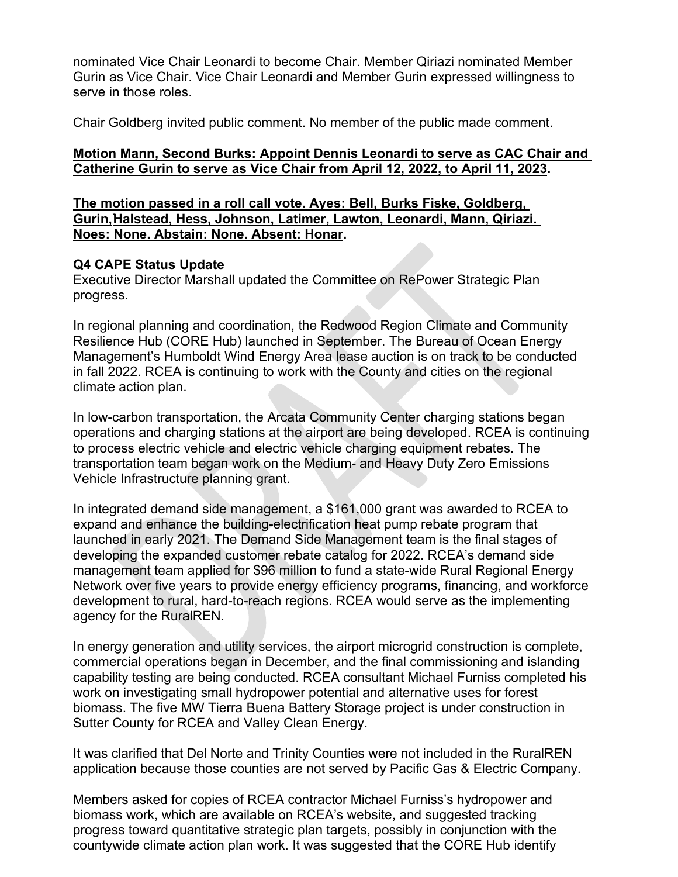nominated Vice Chair Leonardi to become Chair. Member Qiriazi nominated Member Gurin as Vice Chair. Vice Chair Leonardi and Member Gurin expressed willingness to serve in those roles.

Chair Goldberg invited public comment. No member of the public made comment.

### **Motion Mann, Second Burks: Appoint Dennis Leonardi to serve as CAC Chair and Catherine Gurin to serve as Vice Chair from April 12, 2022, to April 11, 2023.**

**The motion passed in a roll call vote. Ayes: Bell, Burks Fiske, Goldberg, Gurin,`Halstead, Hess, Johnson, Latimer, Lawton, Leonardi, Mann, Qiriazi. Noes: None. Abstain: None. Absent: Honar.**

#### **Q4 CAPE Status Update**

Executive Director Marshall updated the Committee on RePower Strategic Plan progress.

In regional planning and coordination, the Redwood Region Climate and Community Resilience Hub (CORE Hub) launched in September. The Bureau of Ocean Energy Management's Humboldt Wind Energy Area lease auction is on track to be conducted in fall 2022. RCEA is continuing to work with the County and cities on the regional climate action plan.

In low-carbon transportation, the Arcata Community Center charging stations began operations and charging stations at the airport are being developed. RCEA is continuing to process electric vehicle and electric vehicle charging equipment rebates. The transportation team began work on the Medium- and Heavy Duty Zero Emissions Vehicle Infrastructure planning grant.

In integrated demand side management, a \$161,000 grant was awarded to RCEA to expand and enhance the building-electrification heat pump rebate program that launched in early 2021. The Demand Side Management team is the final stages of developing the expanded customer rebate catalog for 2022. RCEA's demand side management team applied for \$96 million to fund a state-wide Rural Regional Energy Network over five years to provide energy efficiency programs, financing, and workforce development to rural, hard-to-reach regions. RCEA would serve as the implementing agency for the RuralREN.

In energy generation and utility services, the airport microgrid construction is complete, commercial operations began in December, and the final commissioning and islanding capability testing are being conducted. RCEA consultant Michael Furniss completed his work on investigating small hydropower potential and alternative uses for forest biomass. The five MW Tierra Buena Battery Storage project is under construction in Sutter County for RCEA and Valley Clean Energy.

It was clarified that Del Norte and Trinity Counties were not included in the RuralREN application because those counties are not served by Pacific Gas & Electric Company.

Members asked for copies of RCEA contractor Michael Furniss's hydropower and biomass work, which are available on RCEA's website, and suggested tracking progress toward quantitative strategic plan targets, possibly in conjunction with the countywide climate action plan work. It was suggested that the CORE Hub identify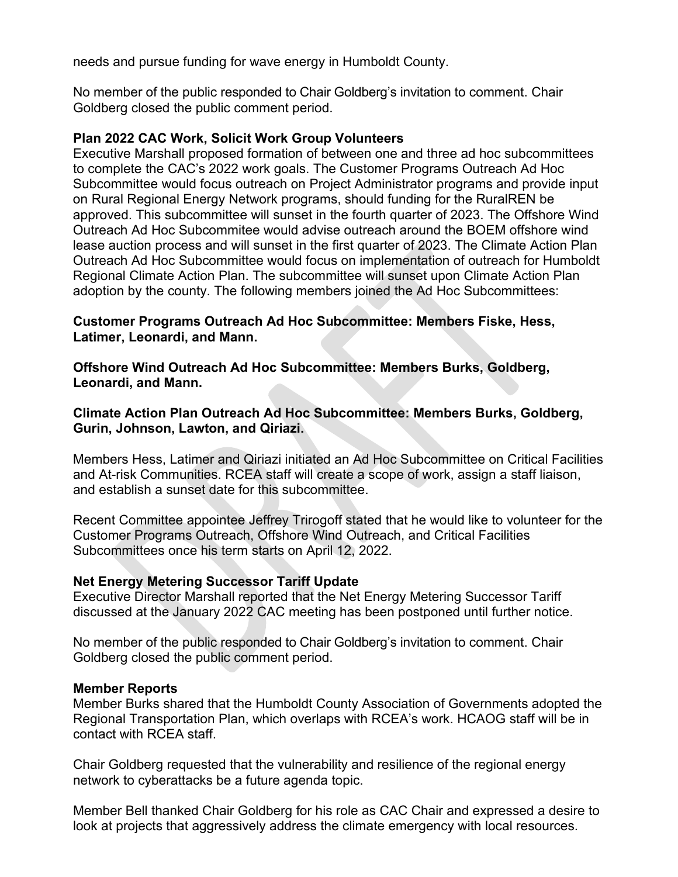needs and pursue funding for wave energy in Humboldt County.

No member of the public responded to Chair Goldberg's invitation to comment. Chair Goldberg closed the public comment period.

#### **Plan 2022 CAC Work, Solicit Work Group Volunteers**

Executive Marshall proposed formation of between one and three ad hoc subcommittees to complete the CAC's 2022 work goals. The Customer Programs Outreach Ad Hoc Subcommittee would focus outreach on Project Administrator programs and provide input on Rural Regional Energy Network programs, should funding for the RuralREN be approved. This subcommittee will sunset in the fourth quarter of 2023. The Offshore Wind Outreach Ad Hoc Subcommitee would advise outreach around the BOEM offshore wind lease auction process and will sunset in the first quarter of 2023. The Climate Action Plan Outreach Ad Hoc Subcommittee would focus on implementation of outreach for Humboldt Regional Climate Action Plan. The subcommittee will sunset upon Climate Action Plan adoption by the county. The following members joined the Ad Hoc Subcommittees:

#### **Customer Programs Outreach Ad Hoc Subcommittee: Members Fiske, Hess, Latimer, Leonardi, and Mann.**

**Offshore Wind Outreach Ad Hoc Subcommittee: Members Burks, Goldberg, Leonardi, and Mann.**

**Climate Action Plan Outreach Ad Hoc Subcommittee: Members Burks, Goldberg, Gurin, Johnson, Lawton, and Qiriazi.** 

Members Hess, Latimer and Qiriazi initiated an Ad Hoc Subcommittee on Critical Facilities and At-risk Communities. RCEA staff will create a scope of work, assign a staff liaison, and establish a sunset date for this subcommittee.

Recent Committee appointee Jeffrey Trirogoff stated that he would like to volunteer for the Customer Programs Outreach, Offshore Wind Outreach, and Critical Facilities Subcommittees once his term starts on April 12, 2022.

#### **Net Energy Metering Successor Tariff Update**

Executive Director Marshall reported that the Net Energy Metering Successor Tariff discussed at the January 2022 CAC meeting has been postponed until further notice.

No member of the public responded to Chair Goldberg's invitation to comment. Chair Goldberg closed the public comment period.

#### **Member Reports**

Member Burks shared that the Humboldt County Association of Governments adopted the Regional Transportation Plan, which overlaps with RCEA's work. HCAOG staff will be in contact with RCEA staff.

Chair Goldberg requested that the vulnerability and resilience of the regional energy network to cyberattacks be a future agenda topic.

Member Bell thanked Chair Goldberg for his role as CAC Chair and expressed a desire to look at projects that aggressively address the climate emergency with local resources.